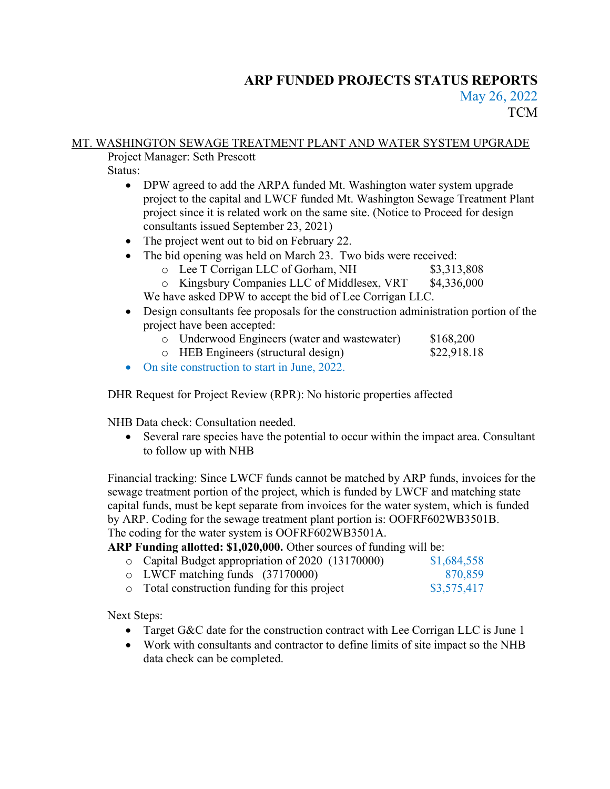# ARP FUNDED PROJECTS STATUS REPORTS May 26, 2022 **TCM**

# MT. WASHINGTON SEWAGE TREATMENT PLANT AND WATER SYSTEM UPGRADE

Project Manager: Seth Prescott

Status:

- DPW agreed to add the ARPA funded Mt. Washington water system upgrade project to the capital and LWCF funded Mt. Washington Sewage Treatment Plant project since it is related work on the same site. (Notice to Proceed for design consultants issued September 23, 2021)
- The project went out to bid on February 22.
- The bid opening was held on March 23. Two bids were received:
	- o Lee T Corrigan LLC of Gorham, NH \$3,313,808
	- o Kingsbury Companies LLC of Middlesex, VRT \$4,336,000

We have asked DPW to accept the bid of Lee Corrigan LLC.

- Design consultants fee proposals for the construction administration portion of the project have been accepted:
	- o Underwood Engineers (water and wastewater) \$168,200
	- o HEB Engineers (structural design) \$22,918.18
- On site construction to start in June, 2022.

DHR Request for Project Review (RPR): No historic properties affected

NHB Data check: Consultation needed.

 Several rare species have the potential to occur within the impact area. Consultant to follow up with NHB

Financial tracking: Since LWCF funds cannot be matched by ARP funds, invoices for the sewage treatment portion of the project, which is funded by LWCF and matching state capital funds, must be kept separate from invoices for the water system, which is funded by ARP. Coding for the sewage treatment plant portion is: OOFRF602WB3501B. The coding for the water system is OOFRF602WB3501A.

### ARP Funding allotted: \$1,020,000. Other sources of funding will be:

| o Capital Budget appropriation of 2020 (13170000) | \$1,684,558 |
|---------------------------------------------------|-------------|
| $\circ$ LWCF matching funds (37170000)            | 870,859     |
| • Total construction funding for this project     | \$3,575,417 |

Next Steps:

- Target G&C date for the construction contract with Lee Corrigan LLC is June 1
- Work with consultants and contractor to define limits of site impact so the NHB data check can be completed.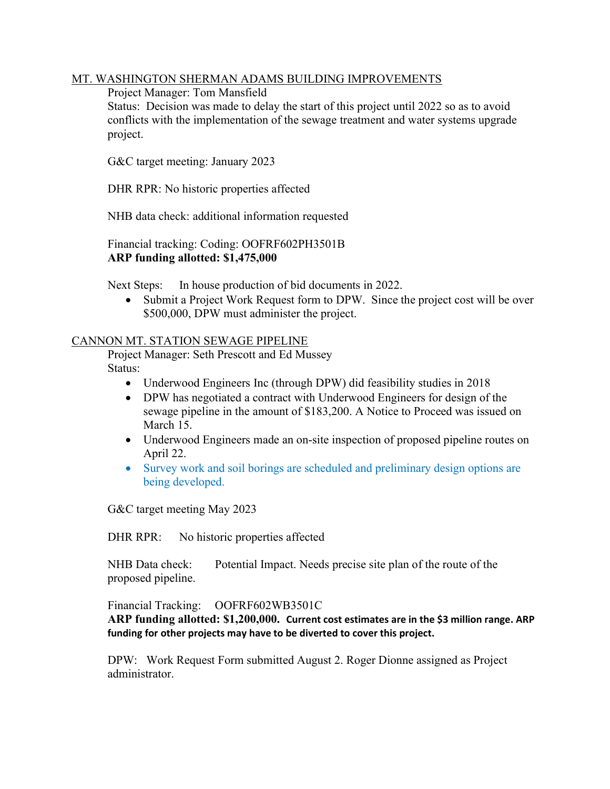#### MT. WASHINGTON SHERMAN ADAMS BUILDING IMPROVEMENTS

Project Manager: Tom Mansfield

Status: Decision was made to delay the start of this project until 2022 so as to avoid conflicts with the implementation of the sewage treatment and water systems upgrade project.

G&C target meeting: January 2023

DHR RPR: No historic properties affected

NHB data check: additional information requested

 Financial tracking: Coding: OOFRF602PH3501B ARP funding allotted: \$1,475,000

Next Steps: In house production of bid documents in 2022.

 Submit a Project Work Request form to DPW. Since the project cost will be over \$500,000, DPW must administer the project.

#### CANNON MT. STATION SEWAGE PIPELINE

 Project Manager: Seth Prescott and Ed Mussey Status:

- Underwood Engineers Inc (through DPW) did feasibility studies in 2018
- DPW has negotiated a contract with Underwood Engineers for design of the sewage pipeline in the amount of \$183,200. A Notice to Proceed was issued on March 15.
- Underwood Engineers made an on-site inspection of proposed pipeline routes on April 22.
- Survey work and soil borings are scheduled and preliminary design options are being developed.

G&C target meeting May 2023

DHR RPR: No historic properties affected

NHB Data check: Potential Impact. Needs precise site plan of the route of the proposed pipeline.

Financial Tracking: OOFRF602WB3501C

ARP funding allotted: \$1,200,000. Current cost estimates are in the \$3 million range. ARP funding for other projects may have to be diverted to cover this project.

DPW: Work Request Form submitted August 2. Roger Dionne assigned as Project administrator.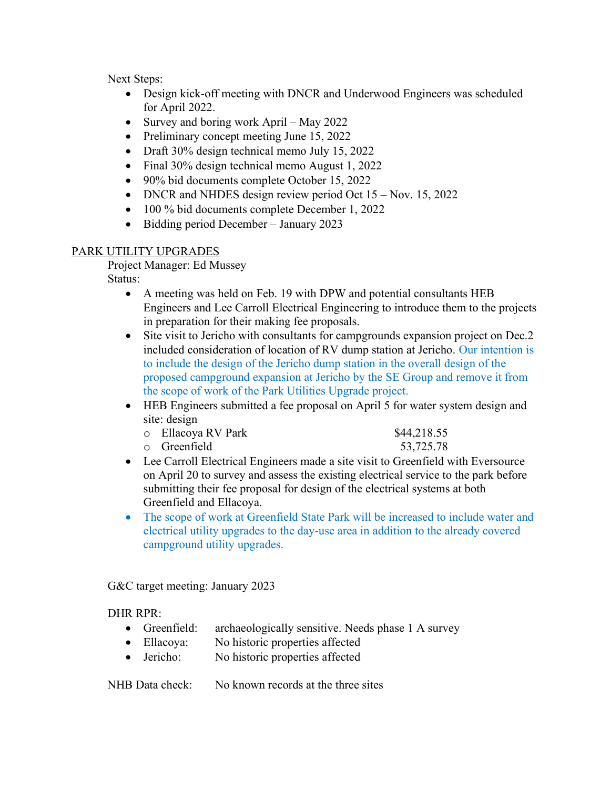Next Steps:

- Design kick-off meeting with DNCR and Underwood Engineers was scheduled for April 2022.
- Survey and boring work April May 2022
- Preliminary concept meeting June 15, 2022
- Draft 30% design technical memo July 15, 2022
- Final 30% design technical memo August 1, 2022
- 90% bid documents complete October 15, 2022
- DNCR and NHDES design review period Oct 15 Nov. 15, 2022
- 100 % bid documents complete December 1, 2022
- Bidding period December January 2023

### PARK UTILITY UPGRADES

Project Manager: Ed Mussey

Status:

- A meeting was held on Feb. 19 with DPW and potential consultants HEB Engineers and Lee Carroll Electrical Engineering to introduce them to the projects in preparation for their making fee proposals.
- Site visit to Jericho with consultants for campgrounds expansion project on Dec. 2 included consideration of location of RV dump station at Jericho. Our intention is to include the design of the Jericho dump station in the overall design of the proposed campground expansion at Jericho by the SE Group and remove it from the scope of work of the Park Utilities Upgrade project.
- HEB Engineers submitted a fee proposal on April 5 for water system design and site: design
	- o Ellacoya RV Park \$44,218.55 o Greenfield 53,725.78
- Lee Carroll Electrical Engineers made a site visit to Greenfield with Eversource on April 20 to survey and assess the existing electrical service to the park before submitting their fee proposal for design of the electrical systems at both Greenfield and Ellacoya.
- The scope of work at Greenfield State Park will be increased to include water and electrical utility upgrades to the day-use area in addition to the already covered campground utility upgrades.

G&C target meeting: January 2023

DHR RPR:

- Greenfield: archaeologically sensitive. Needs phase 1 A survey
- Ellacoya: No historic properties affected
- Jericho: No historic properties affected

NHB Data check: No known records at the three sites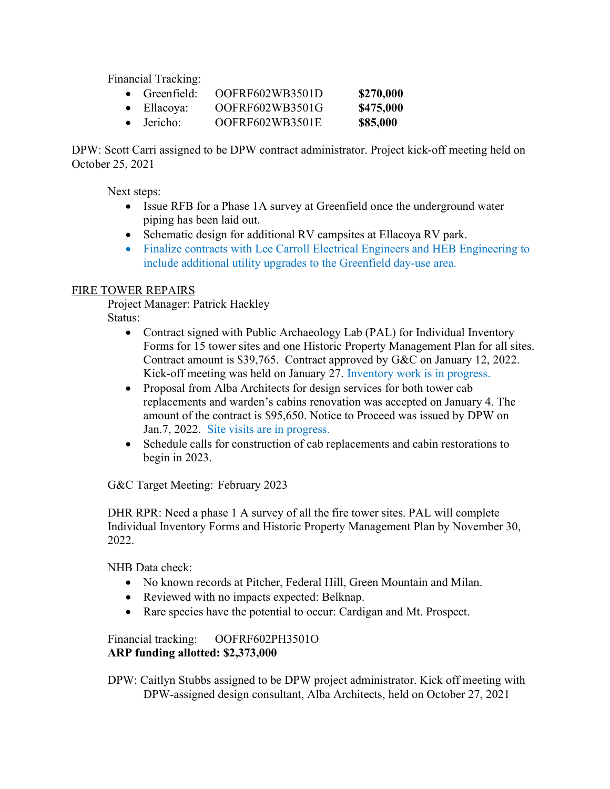Financial Tracking:

| $\bullet$ Greenfield: | OOFRF602WB3501D | \$270,000 |
|-----------------------|-----------------|-----------|
| $\bullet$ Ellacoya:   | OOFRF602WB3501G | \$475,000 |
| $\bullet$ Jericho:    | OOFRF602WB3501E | \$85,000  |

DPW: Scott Carri assigned to be DPW contract administrator. Project kick-off meeting held on October 25, 2021

Next steps:

- Issue RFB for a Phase 1A survey at Greenfield once the underground water piping has been laid out.
- Schematic design for additional RV campsites at Ellacoya RV park.
- Finalize contracts with Lee Carroll Electrical Engineers and HEB Engineering to include additional utility upgrades to the Greenfield day-use area.

# FIRE TOWER REPAIRS

Project Manager: Patrick Hackley

Status:

- Contract signed with Public Archaeology Lab (PAL) for Individual Inventory Forms for 15 tower sites and one Historic Property Management Plan for all sites. Contract amount is \$39,765. Contract approved by G&C on January 12, 2022. Kick-off meeting was held on January 27. Inventory work is in progress.
- Proposal from Alba Architects for design services for both tower cab replacements and warden's cabins renovation was accepted on January 4. The amount of the contract is \$95,650. Notice to Proceed was issued by DPW on Jan.7, 2022. Site visits are in progress.
- Schedule calls for construction of cab replacements and cabin restorations to begin in 2023.

G&C Target Meeting: February 2023

DHR RPR: Need a phase 1 A survey of all the fire tower sites. PAL will complete Individual Inventory Forms and Historic Property Management Plan by November 30, 2022.

NHB Data check:

- No known records at Pitcher, Federal Hill, Green Mountain and Milan.
- Reviewed with no impacts expected: Belknap.
- Rare species have the potential to occur: Cardigan and Mt. Prospect.

 Financial tracking: OOFRF602PH3501O ARP funding allotted: \$2,373,000

 DPW: Caitlyn Stubbs assigned to be DPW project administrator. Kick off meeting with DPW-assigned design consultant, Alba Architects, held on October 27, 2021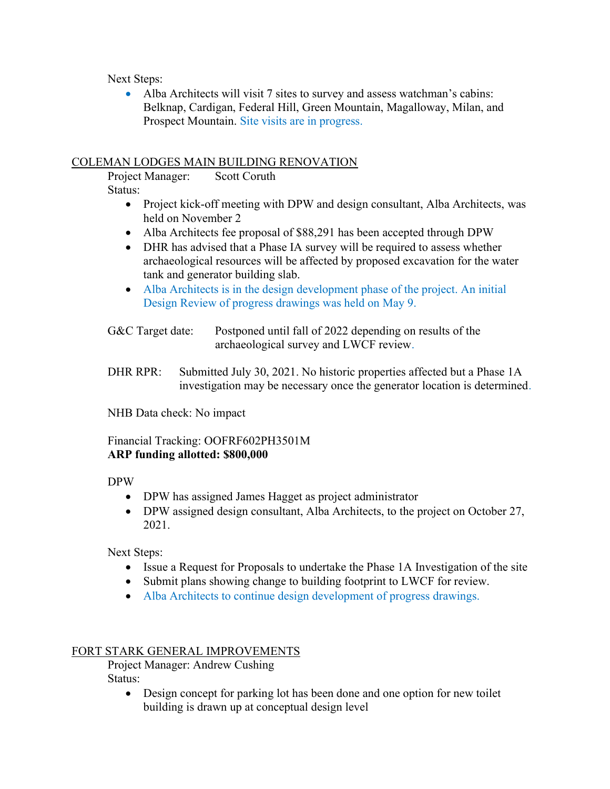Next Steps:

 Alba Architects will visit 7 sites to survey and assess watchman's cabins: Belknap, Cardigan, Federal Hill, Green Mountain, Magalloway, Milan, and Prospect Mountain. Site visits are in progress.

#### COLEMAN LODGES MAIN BUILDING RENOVATION

 Project Manager: Scott Coruth Status:

- Project kick-off meeting with DPW and design consultant, Alba Architects, was held on November 2
- Alba Architects fee proposal of \$88,291 has been accepted through DPW
- DHR has advised that a Phase IA survey will be required to assess whether archaeological resources will be affected by proposed excavation for the water tank and generator building slab.
- Alba Architects is in the design development phase of the project. An initial Design Review of progress drawings was held on May 9.

G&C Target date: Postponed until fall of 2022 depending on results of the archaeological survey and LWCF review.

DHR RPR: Submitted July 30, 2021. No historic properties affected but a Phase 1A investigation may be necessary once the generator location is determined.

NHB Data check: No impact

### Financial Tracking: OOFRF602PH3501M ARP funding allotted: \$800,000

DPW

- DPW has assigned James Hagget as project administrator
- DPW assigned design consultant, Alba Architects, to the project on October 27, 2021.

Next Steps:

- Issue a Request for Proposals to undertake the Phase 1A Investigation of the site
- Submit plans showing change to building footprint to LWCF for review.
- Alba Architects to continue design development of progress drawings.

#### FORT STARK GENERAL IMPROVEMENTS

 Project Manager: Andrew Cushing Status:

> Design concept for parking lot has been done and one option for new toilet building is drawn up at conceptual design level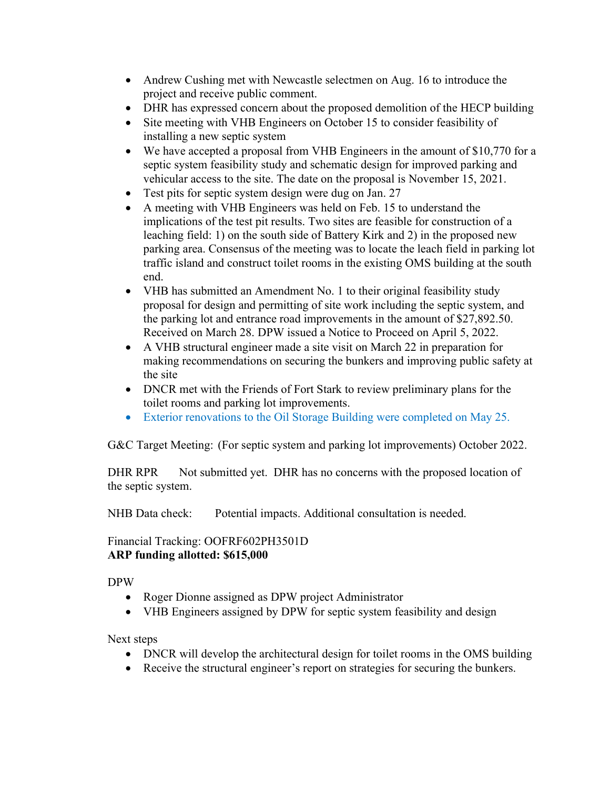- Andrew Cushing met with Newcastle selectmen on Aug. 16 to introduce the project and receive public comment.
- DHR has expressed concern about the proposed demolition of the HECP building
- Site meeting with VHB Engineers on October 15 to consider feasibility of installing a new septic system
- We have accepted a proposal from VHB Engineers in the amount of \$10,770 for a septic system feasibility study and schematic design for improved parking and vehicular access to the site. The date on the proposal is November 15, 2021.
- Test pits for septic system design were dug on Jan. 27
- A meeting with VHB Engineers was held on Feb. 15 to understand the implications of the test pit results. Two sites are feasible for construction of a leaching field: 1) on the south side of Battery Kirk and 2) in the proposed new parking area. Consensus of the meeting was to locate the leach field in parking lot traffic island and construct toilet rooms in the existing OMS building at the south end.
- VHB has submitted an Amendment No. 1 to their original feasibility study proposal for design and permitting of site work including the septic system, and the parking lot and entrance road improvements in the amount of \$27,892.50. Received on March 28. DPW issued a Notice to Proceed on April 5, 2022.
- A VHB structural engineer made a site visit on March 22 in preparation for making recommendations on securing the bunkers and improving public safety at the site
- DNCR met with the Friends of Fort Stark to review preliminary plans for the toilet rooms and parking lot improvements.
- Exterior renovations to the Oil Storage Building were completed on May 25.

G&C Target Meeting: (For septic system and parking lot improvements) October 2022.

DHR RPR Not submitted yet. DHR has no concerns with the proposed location of the septic system.

NHB Data check: Potential impacts. Additional consultation is needed.

# Financial Tracking: OOFRF602PH3501D ARP funding allotted: \$615,000

# DPW

- Roger Dionne assigned as DPW project Administrator
- VHB Engineers assigned by DPW for septic system feasibility and design

Next steps

- DNCR will develop the architectural design for toilet rooms in the OMS building
- Receive the structural engineer's report on strategies for securing the bunkers.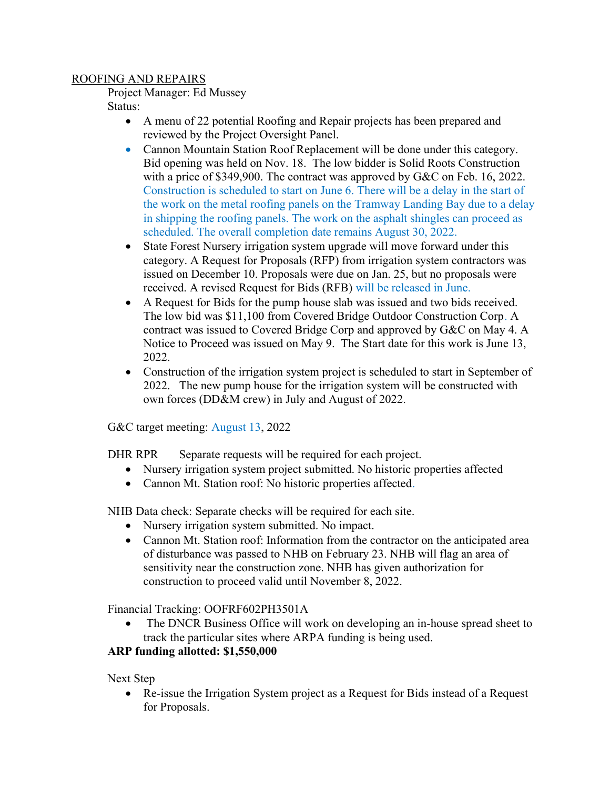#### ROOFING AND REPAIRS

Project Manager: Ed Mussey

Status:

- A menu of 22 potential Roofing and Repair projects has been prepared and reviewed by the Project Oversight Panel.
- Cannon Mountain Station Roof Replacement will be done under this category. Bid opening was held on Nov. 18. The low bidder is Solid Roots Construction with a price of \$349,900. The contract was approved by G&C on Feb. 16, 2022. Construction is scheduled to start on June 6. There will be a delay in the start of the work on the metal roofing panels on the Tramway Landing Bay due to a delay in shipping the roofing panels. The work on the asphalt shingles can proceed as scheduled. The overall completion date remains August 30, 2022.
- State Forest Nursery irrigation system upgrade will move forward under this category. A Request for Proposals (RFP) from irrigation system contractors was issued on December 10. Proposals were due on Jan. 25, but no proposals were received. A revised Request for Bids (RFB) will be released in June.
- A Request for Bids for the pump house slab was issued and two bids received. The low bid was \$11,100 from Covered Bridge Outdoor Construction Corp. A contract was issued to Covered Bridge Corp and approved by G&C on May 4. A Notice to Proceed was issued on May 9. The Start date for this work is June 13, 2022.
- Construction of the irrigation system project is scheduled to start in September of 2022. The new pump house for the irrigation system will be constructed with own forces (DD&M crew) in July and August of 2022.

G&C target meeting: August 13, 2022

DHR RPR Separate requests will be required for each project.

- Nursery irrigation system project submitted. No historic properties affected
- Cannon Mt. Station roof: No historic properties affected.

NHB Data check: Separate checks will be required for each site.

- Nursery irrigation system submitted. No impact.
- Cannon Mt. Station roof: Information from the contractor on the anticipated area of disturbance was passed to NHB on February 23. NHB will flag an area of sensitivity near the construction zone. NHB has given authorization for construction to proceed valid until November 8, 2022.

Financial Tracking: OOFRF602PH3501A

 The DNCR Business Office will work on developing an in-house spread sheet to track the particular sites where ARPA funding is being used.

### ARP funding allotted: \$1,550,000

Next Step

 Re-issue the Irrigation System project as a Request for Bids instead of a Request for Proposals.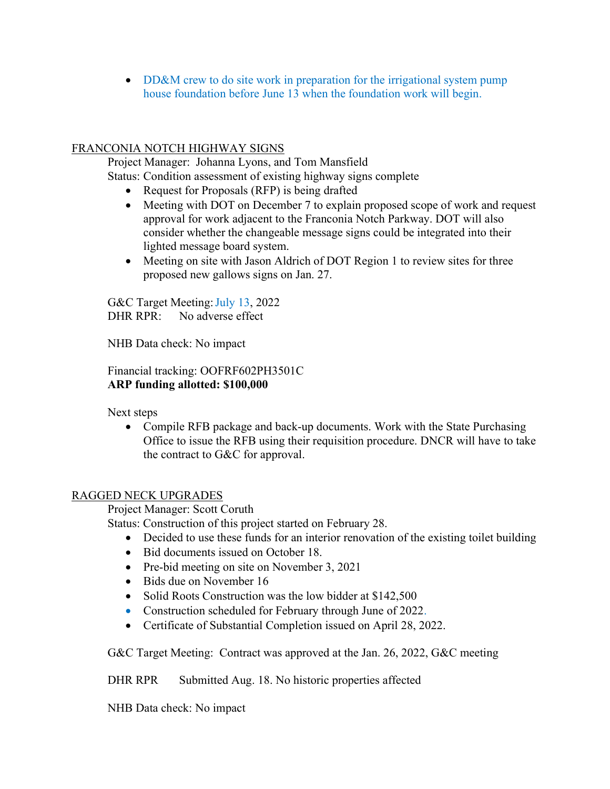• DD&M crew to do site work in preparation for the irrigational system pump house foundation before June 13 when the foundation work will begin.

# FRANCONIA NOTCH HIGHWAY SIGNS

 Project Manager: Johanna Lyons, and Tom Mansfield Status: Condition assessment of existing highway signs complete

- Request for Proposals (RFP) is being drafted
- Meeting with DOT on December 7 to explain proposed scope of work and request approval for work adjacent to the Franconia Notch Parkway. DOT will also consider whether the changeable message signs could be integrated into their lighted message board system.
- Meeting on site with Jason Aldrich of DOT Region 1 to review sites for three proposed new gallows signs on Jan. 27.

G&C Target Meeting: July 13, 2022 DHR RPR: No adverse effect

NHB Data check: No impact

 Financial tracking: OOFRF602PH3501C ARP funding allotted: \$100,000

Next steps

• Compile RFB package and back-up documents. Work with the State Purchasing Office to issue the RFB using their requisition procedure. DNCR will have to take the contract to G&C for approval.

### RAGGED NECK UPGRADES

Project Manager: Scott Coruth

Status: Construction of this project started on February 28.

- Decided to use these funds for an interior renovation of the existing toilet building
- Bid documents issued on October 18.
- Pre-bid meeting on site on November 3, 2021
- Bids due on November 16
- Solid Roots Construction was the low bidder at \$142,500
- Construction scheduled for February through June of 2022.
- Certificate of Substantial Completion issued on April 28, 2022.

G&C Target Meeting: Contract was approved at the Jan. 26, 2022, G&C meeting

DHR RPR Submitted Aug. 18. No historic properties affected

NHB Data check: No impact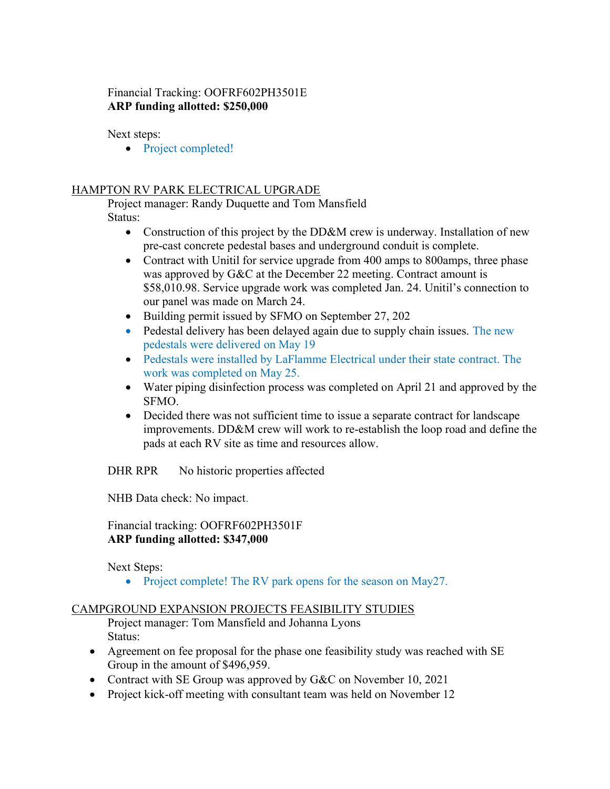# Financial Tracking: OOFRF602PH3501E ARP funding allotted: \$250,000

Next steps:

• Project completed!

# HAMPTON RV PARK ELECTRICAL UPGRADE

 Project manager: Randy Duquette and Tom Mansfield Status:

- Construction of this project by the DD&M crew is underway. Installation of new pre-cast concrete pedestal bases and underground conduit is complete.
- Contract with Unitil for service upgrade from 400 amps to 800 amps, three phase was approved by G&C at the December 22 meeting. Contract amount is \$58,010.98. Service upgrade work was completed Jan. 24. Unitil's connection to our panel was made on March 24.
- Building permit issued by SFMO on September 27, 202
- Pedestal delivery has been delayed again due to supply chain issues. The new pedestals were delivered on May 19
- Pedestals were installed by LaFlamme Electrical under their state contract. The work was completed on May 25.
- Water piping disinfection process was completed on April 21 and approved by the SFMO.
- Decided there was not sufficient time to issue a separate contract for landscape improvements. DD&M crew will work to re-establish the loop road and define the pads at each RV site as time and resources allow.

DHR RPR No historic properties affected

NHB Data check: No impact.

Financial tracking: OOFRF602PH3501F ARP funding allotted: \$347,000

Next Steps:

• Project complete! The RV park opens for the season on May27.

### CAMPGROUND EXPANSION PROJECTS FEASIBILITY STUDIES

 Project manager: Tom Mansfield and Johanna Lyons Status:

- Agreement on fee proposal for the phase one feasibility study was reached with SE Group in the amount of \$496,959.
- Contract with SE Group was approved by G&C on November 10, 2021
- Project kick-off meeting with consultant team was held on November 12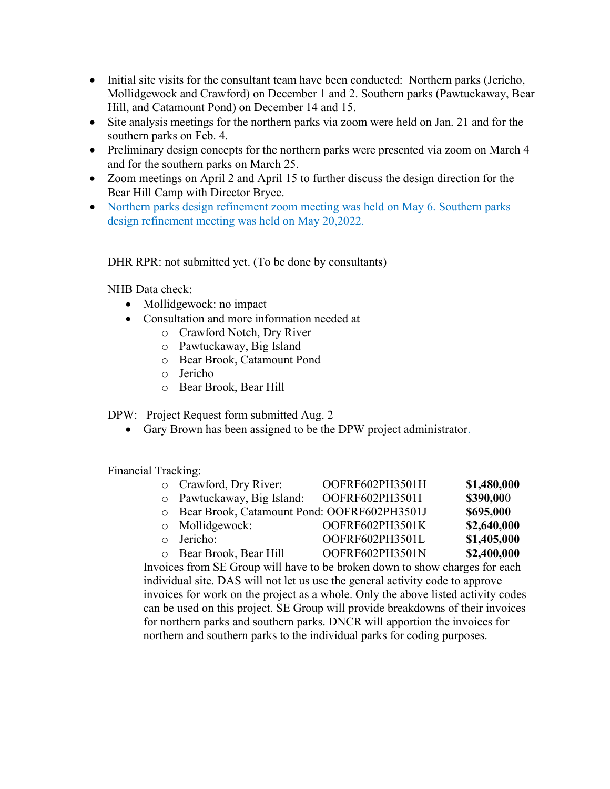- Initial site visits for the consultant team have been conducted: Northern parks (Jericho, Mollidgewock and Crawford) on December 1 and 2. Southern parks (Pawtuckaway, Bear Hill, and Catamount Pond) on December 14 and 15.
- Site analysis meetings for the northern parks via zoom were held on Jan. 21 and for the southern parks on Feb. 4.
- Preliminary design concepts for the northern parks were presented via zoom on March 4 and for the southern parks on March 25.
- Zoom meetings on April 2 and April 15 to further discuss the design direction for the Bear Hill Camp with Director Bryce.
- Northern parks design refinement zoom meeting was held on May 6. Southern parks design refinement meeting was held on May 20,2022.

DHR RPR: not submitted yet. (To be done by consultants)

NHB Data check:

- Mollidgewock: no impact
- Consultation and more information needed at
	- o Crawford Notch, Dry River
	- o Pawtuckaway, Big Island
	- o Bear Brook, Catamount Pond
	- o Jericho
	- o Bear Brook, Bear Hill

DPW: Project Request form submitted Aug. 2

Gary Brown has been assigned to be the DPW project administrator.

Financial Tracking:

| o Crawford, Dry River:                        | OOFRF602PH3501H | \$1,480,000 |
|-----------------------------------------------|-----------------|-------------|
| o Pawtuckaway, Big Island:                    | OOFRF602PH3501I | \$390,000   |
| O Bear Brook, Catamount Pond: OOFRF602PH3501J |                 | \$695,000   |
| $\circ$ Mollidgewock:                         | OOFRF602PH3501K | \$2,640,000 |
| o Jericho:                                    | OOFRF602PH3501L | \$1,405,000 |
| o Bear Brook, Bear Hill                       | OOFRF602PH3501N | \$2,400,000 |
|                                               |                 |             |

Invoices from SE Group will have to be broken down to show charges for each individual site. DAS will not let us use the general activity code to approve invoices for work on the project as a whole. Only the above listed activity codes can be used on this project. SE Group will provide breakdowns of their invoices for northern parks and southern parks. DNCR will apportion the invoices for northern and southern parks to the individual parks for coding purposes.